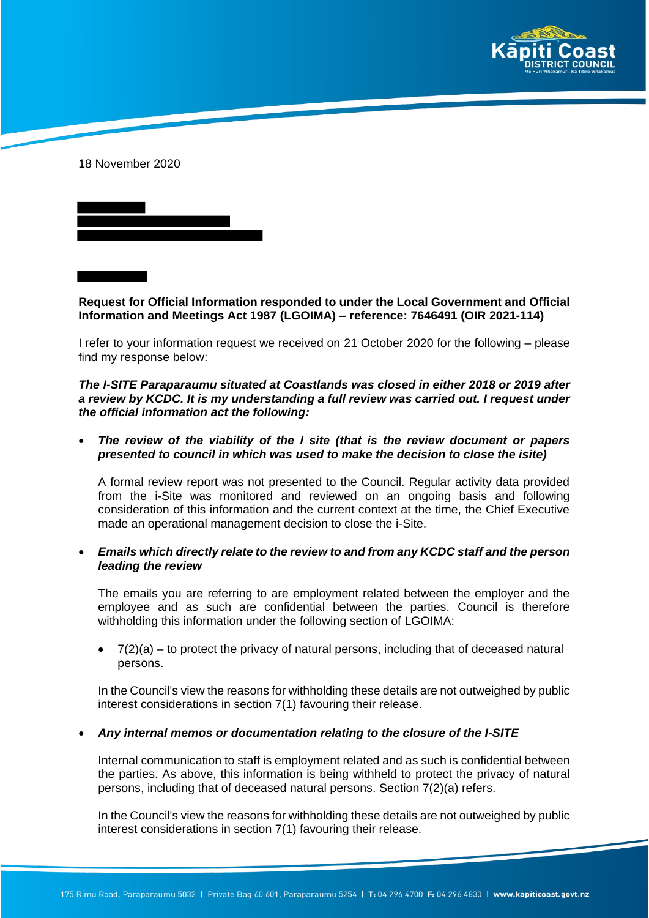

18 November 2020



**Request for Official Information responded to under the Local Government and Official Information and Meetings Act 1987 (LGOIMA) – reference: 7646491 (OIR 2021-114)**

I refer to your information request we received on 21 October 2020 for the following – please find my response below:

*The I-SITE Paraparaumu situated at Coastlands was closed in either 2018 or 2019 after a review by KCDC. It is my understanding a full review was carried out. I request under the official information act the following:*

 *The review of the viability of the I site (that is the review document or papers presented to council in which was used to make the decision to close the isite)*

A formal review report was not presented to the Council. Regular activity data provided from the i-Site was monitored and reviewed on an ongoing basis and following consideration of this information and the current context at the time, the Chief Executive made an operational management decision to close the i-Site.

 *Emails which directly relate to the review to and from any KCDC staff and the person leading the review*

The emails you are referring to are employment related between the employer and the employee and as such are confidential between the parties. Council is therefore withholding this information under the following section of LGOIMA:

 $\bullet$   $7(2)(a)$  – to protect the privacy of natural persons, including that of deceased natural persons.

In the Council's view the reasons for withholding these details are not outweighed by public interest considerations in section 7(1) favouring their release.

## *Any internal memos or documentation relating to the closure of the I-SITE*

Internal communication to staff is employment related and as such is confidential between the parties. As above, this information is being withheld to protect the privacy of natural persons, including that of deceased natural persons. Section 7(2)(a) refers.

In the Council's view the reasons for withholding these details are not outweighed by public interest considerations in section 7(1) favouring their release.